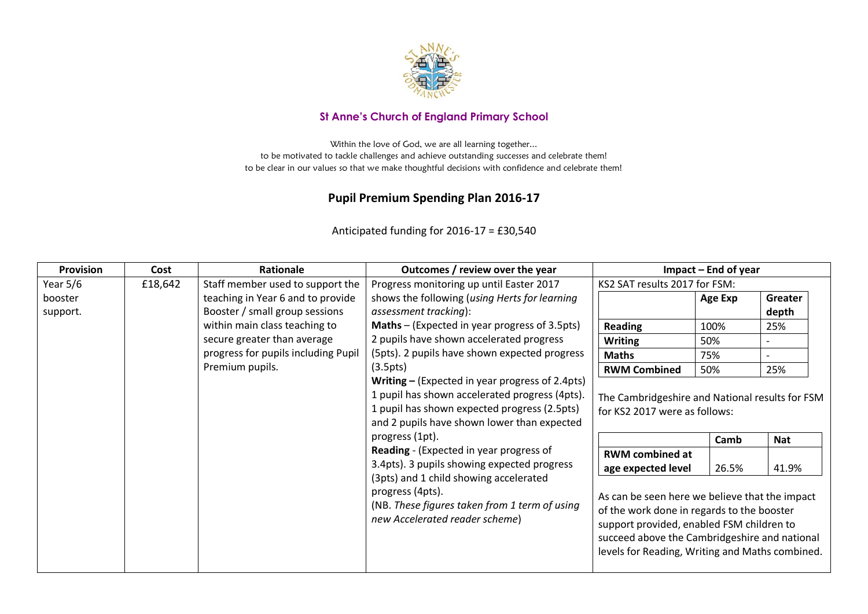

## **St Anne's Church of England Primary School**

Within the love of God, we are all learning together... to be motivated to tackle challenges and achieve outstanding successes and celebrate them! to be clear in our values so that we make thoughtful decisions with confidence and celebrate them!

## **Pupil Premium Spending Plan 2016-17**

| <b>Provision</b>    | Cost    | Rationale                                                                                                                                                                                                                               | Outcomes / review over the year                                                                                                                                                                                                                                                               | $Im$ pact – End of year                                                          |         |                  |
|---------------------|---------|-----------------------------------------------------------------------------------------------------------------------------------------------------------------------------------------------------------------------------------------|-----------------------------------------------------------------------------------------------------------------------------------------------------------------------------------------------------------------------------------------------------------------------------------------------|----------------------------------------------------------------------------------|---------|------------------|
| Year $5/6$          | £18,642 | Staff member used to support the                                                                                                                                                                                                        | Progress monitoring up until Easter 2017                                                                                                                                                                                                                                                      | KS2 SAT results 2017 for FSM:                                                    |         |                  |
| booster<br>support. |         | teaching in Year 6 and to provide<br>Booster / small group sessions                                                                                                                                                                     | shows the following (using Herts for learning<br>assessment tracking):                                                                                                                                                                                                                        |                                                                                  | Age Exp | Greater<br>depth |
|                     |         | within main class teaching to                                                                                                                                                                                                           | Maths - (Expected in year progress of 3.5pts)                                                                                                                                                                                                                                                 | <b>Reading</b>                                                                   | 100%    | 25%              |
|                     |         | secure greater than average                                                                                                                                                                                                             | 2 pupils have shown accelerated progress                                                                                                                                                                                                                                                      | <b>Writing</b>                                                                   | 50%     |                  |
|                     |         | progress for pupils including Pupil                                                                                                                                                                                                     | (5pts). 2 pupils have shown expected progress                                                                                                                                                                                                                                                 | <b>Maths</b>                                                                     | 75%     |                  |
|                     |         | Premium pupils.                                                                                                                                                                                                                         | (3.5pts)                                                                                                                                                                                                                                                                                      | <b>RWM Combined</b>                                                              | 50%     | 25%              |
|                     |         |                                                                                                                                                                                                                                         | 1 pupil has shown expected progress (2.5pts)<br>and 2 pupils have shown lower than expected<br>progress (1pt).                                                                                                                                                                                | The Cambridgeshire and National results for FSM<br>for KS2 2017 were as follows: | Camb    | <b>Nat</b>       |
|                     |         | Reading - (Expected in year progress of<br>3.4pts). 3 pupils showing expected progress<br>(3pts) and 1 child showing accelerated<br>progress (4pts).<br>(NB. These figures taken from 1 term of using<br>new Accelerated reader scheme) | <b>RWM</b> combined at<br>age expected level<br>As can be seen here we believe that the impact<br>of the work done in regards to the booster<br>support provided, enabled FSM children to<br>succeed above the Cambridgeshire and national<br>levels for Reading, Writing and Maths combined. | 26.5%                                                                            | 41.9%   |                  |

Anticipated funding for 2016-17 = £30,540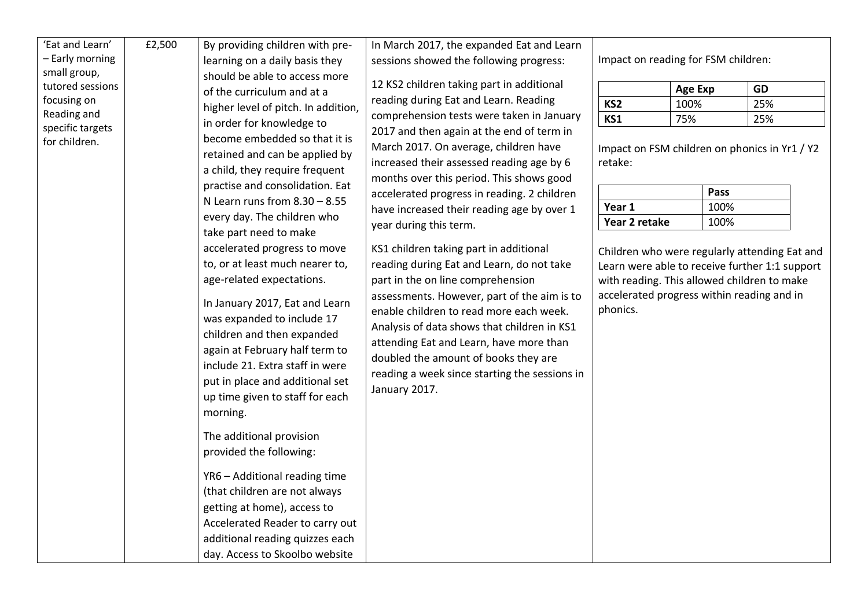| become embedded so that it is<br>for children.<br>March 2017. On average, children have<br>Impact on FSM children on phonics in Yr1 / Y2<br>retained and can be applied by<br>increased their assessed reading age by 6<br>retake:<br>a child, they require frequent<br>months over this period. This shows good<br>practise and consolidation. Eat<br>Pass<br>accelerated progress in reading. 2 children<br>N Learn runs from $8.30 - 8.55$<br>Year 1<br>100%<br>have increased their reading age by over 1<br>every day. The children who<br>Year 2 retake<br>100%<br>year during this term.<br>take part need to make<br>accelerated progress to move<br>KS1 children taking part in additional<br>Children who were regularly attending Eat and<br>to, or at least much nearer to,<br>reading during Eat and Learn, do not take<br>Learn were able to receive further 1:1 support<br>age-related expectations.<br>part in the on line comprehension<br>with reading. This allowed children to make<br>accelerated progress within reading and in<br>assessments. However, part of the aim is to<br>In January 2017, Eat and Learn<br>phonics.<br>enable children to read more each week.<br>was expanded to include 17<br>Analysis of data shows that children in KS1<br>children and then expanded<br>attending Eat and Learn, have more than<br>again at February half term to<br>doubled the amount of books they are<br>include 21. Extra staff in were<br>reading a week since starting the sessions in<br>put in place and additional set<br>January 2017.<br>up time given to staff for each<br>morning.<br>The additional provision<br>provided the following:<br>YR6 - Additional reading time<br>(that children are not always<br>getting at home), access to | 'Eat and Learn'<br>£2,500<br>- Early morning<br>small group,<br>tutored sessions<br>focusing on<br>Reading and | By providing children with pre-<br>learning on a daily basis they<br>should be able to access more<br>of the curriculum and at a<br>higher level of pitch. In addition, | In March 2017, the expanded Eat and Learn<br>sessions showed the following progress:<br>12 KS2 children taking part in additional<br>reading during Eat and Learn. Reading<br>comprehension tests were taken in January | Impact on reading for FSM children:<br>KS <sub>2</sub><br>KS1 | <b>Age Exp</b><br>100%<br>75% | GD<br>25%<br>25% |  |
|------------------------------------------------------------------------------------------------------------------------------------------------------------------------------------------------------------------------------------------------------------------------------------------------------------------------------------------------------------------------------------------------------------------------------------------------------------------------------------------------------------------------------------------------------------------------------------------------------------------------------------------------------------------------------------------------------------------------------------------------------------------------------------------------------------------------------------------------------------------------------------------------------------------------------------------------------------------------------------------------------------------------------------------------------------------------------------------------------------------------------------------------------------------------------------------------------------------------------------------------------------------------------------------------------------------------------------------------------------------------------------------------------------------------------------------------------------------------------------------------------------------------------------------------------------------------------------------------------------------------------------------------------------------------------------------------------------------------------------------------------------------------------|----------------------------------------------------------------------------------------------------------------|-------------------------------------------------------------------------------------------------------------------------------------------------------------------------|-------------------------------------------------------------------------------------------------------------------------------------------------------------------------------------------------------------------------|---------------------------------------------------------------|-------------------------------|------------------|--|
| additional reading quizzes each                                                                                                                                                                                                                                                                                                                                                                                                                                                                                                                                                                                                                                                                                                                                                                                                                                                                                                                                                                                                                                                                                                                                                                                                                                                                                                                                                                                                                                                                                                                                                                                                                                                                                                                                              | specific targets                                                                                               | in order for knowledge to<br>Accelerated Reader to carry out                                                                                                            | 2017 and then again at the end of term in                                                                                                                                                                               |                                                               |                               |                  |  |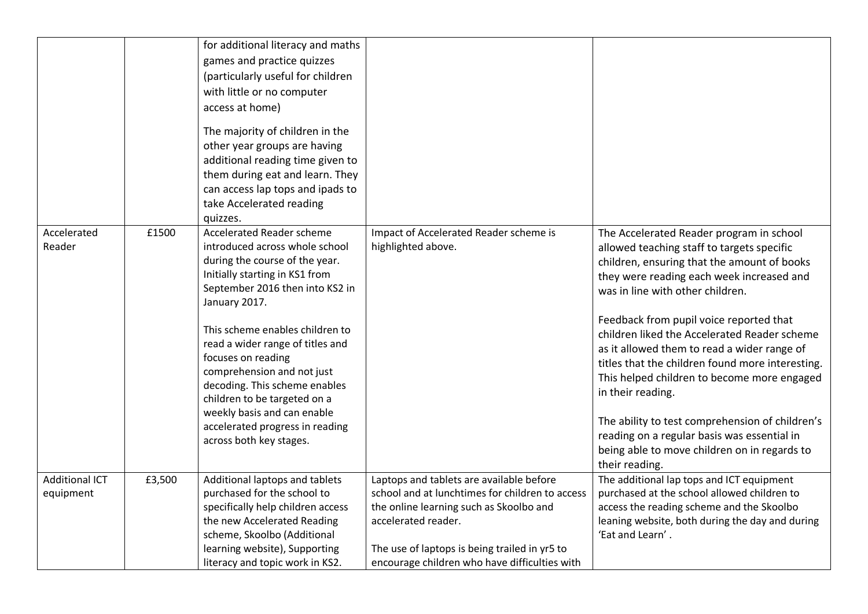|                                    |        | for additional literacy and maths<br>games and practice quizzes<br>(particularly useful for children<br>with little or no computer<br>access at home)<br>The majority of children in the<br>other year groups are having<br>additional reading time given to<br>them during eat and learn. They<br>can access lap tops and ipads to<br>take Accelerated reading<br>quizzes. |                                                                                                                                                                                                                                                                 |                                                                                                                                                                                                                                                                |
|------------------------------------|--------|-----------------------------------------------------------------------------------------------------------------------------------------------------------------------------------------------------------------------------------------------------------------------------------------------------------------------------------------------------------------------------|-----------------------------------------------------------------------------------------------------------------------------------------------------------------------------------------------------------------------------------------------------------------|----------------------------------------------------------------------------------------------------------------------------------------------------------------------------------------------------------------------------------------------------------------|
| Accelerated<br>Reader              | £1500  | <b>Accelerated Reader scheme</b><br>introduced across whole school<br>during the course of the year.<br>Initially starting in KS1 from<br>September 2016 then into KS2 in<br>January 2017.                                                                                                                                                                                  | Impact of Accelerated Reader scheme is<br>highlighted above.                                                                                                                                                                                                    | The Accelerated Reader program in school<br>allowed teaching staff to targets specific<br>children, ensuring that the amount of books<br>they were reading each week increased and<br>was in line with other children.                                         |
|                                    |        | This scheme enables children to<br>read a wider range of titles and<br>focuses on reading<br>comprehension and not just<br>decoding. This scheme enables<br>children to be targeted on a<br>weekly basis and can enable                                                                                                                                                     |                                                                                                                                                                                                                                                                 | Feedback from pupil voice reported that<br>children liked the Accelerated Reader scheme<br>as it allowed them to read a wider range of<br>titles that the children found more interesting.<br>This helped children to become more engaged<br>in their reading. |
|                                    |        | accelerated progress in reading<br>across both key stages.                                                                                                                                                                                                                                                                                                                  |                                                                                                                                                                                                                                                                 | The ability to test comprehension of children's<br>reading on a regular basis was essential in<br>being able to move children on in regards to<br>their reading.                                                                                               |
| <b>Additional ICT</b><br>equipment | £3,500 | Additional laptops and tablets<br>purchased for the school to<br>specifically help children access<br>the new Accelerated Reading<br>scheme, Skoolbo (Additional<br>learning website), Supporting<br>literacy and topic work in KS2.                                                                                                                                        | Laptops and tablets are available before<br>school and at lunchtimes for children to access<br>the online learning such as Skoolbo and<br>accelerated reader.<br>The use of laptops is being trailed in yr5 to<br>encourage children who have difficulties with | The additional lap tops and ICT equipment<br>purchased at the school allowed children to<br>access the reading scheme and the Skoolbo<br>leaning website, both during the day and during<br>'Eat and Learn'.                                                   |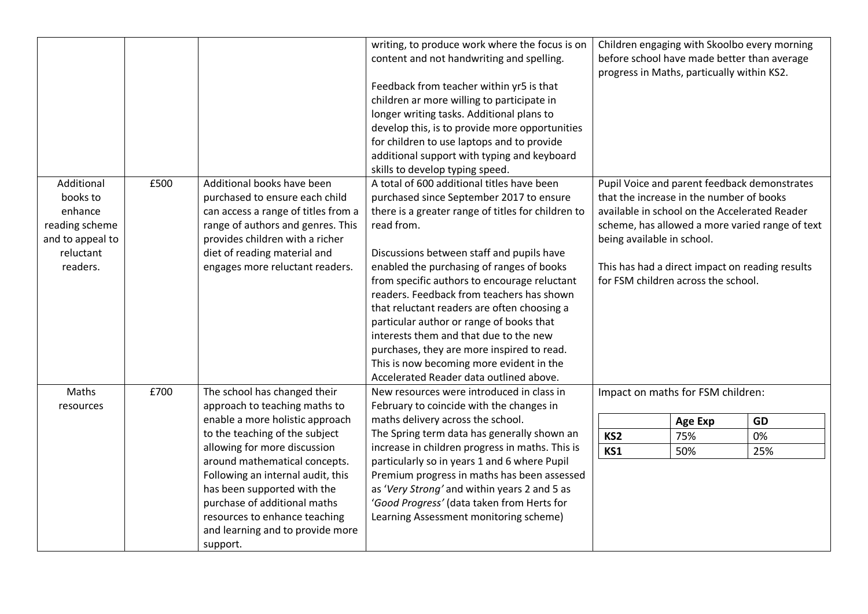|                                                                                                  |      |                                                                                                                                                                                                                                                                                                                                                                                          | writing, to produce work where the focus is on<br>content and not handwriting and spelling.<br>Feedback from teacher within yr5 is that<br>children ar more willing to participate in<br>longer writing tasks. Additional plans to<br>develop this, is to provide more opportunities<br>for children to use laptops and to provide<br>additional support with typing and keyboard                                                                                                                                                                                                                                                                              | Children engaging with Skoolbo every morning<br>before school have made better than average<br>progress in Maths, particually within KS2. |                                                                                                                                                                |                                                                                                                                                    |
|--------------------------------------------------------------------------------------------------|------|------------------------------------------------------------------------------------------------------------------------------------------------------------------------------------------------------------------------------------------------------------------------------------------------------------------------------------------------------------------------------------------|----------------------------------------------------------------------------------------------------------------------------------------------------------------------------------------------------------------------------------------------------------------------------------------------------------------------------------------------------------------------------------------------------------------------------------------------------------------------------------------------------------------------------------------------------------------------------------------------------------------------------------------------------------------|-------------------------------------------------------------------------------------------------------------------------------------------|----------------------------------------------------------------------------------------------------------------------------------------------------------------|----------------------------------------------------------------------------------------------------------------------------------------------------|
| Additional<br>books to<br>enhance<br>reading scheme<br>and to appeal to<br>reluctant<br>readers. | £500 | Additional books have been<br>purchased to ensure each child<br>can access a range of titles from a<br>range of authors and genres. This<br>provides children with a richer<br>diet of reading material and<br>engages more reluctant readers.                                                                                                                                           | skills to develop typing speed.<br>A total of 600 additional titles have been<br>purchased since September 2017 to ensure<br>there is a greater range of titles for children to<br>read from.<br>Discussions between staff and pupils have<br>enabled the purchasing of ranges of books<br>from specific authors to encourage reluctant<br>readers. Feedback from teachers has shown<br>that reluctant readers are often choosing a<br>particular author or range of books that<br>interests them and that due to the new<br>purchases, they are more inspired to read.<br>This is now becoming more evident in the<br>Accelerated Reader data outlined above. |                                                                                                                                           | that the increase in the number of books<br>available in school on the Accelerated Reader<br>being available in school.<br>for FSM children across the school. | Pupil Voice and parent feedback demonstrates<br>scheme, has allowed a more varied range of text<br>This has had a direct impact on reading results |
| <b>Maths</b><br>resources                                                                        | £700 | The school has changed their<br>approach to teaching maths to<br>enable a more holistic approach<br>to the teaching of the subject<br>allowing for more discussion<br>around mathematical concepts.<br>Following an internal audit, this<br>has been supported with the<br>purchase of additional maths<br>resources to enhance teaching<br>and learning and to provide more<br>support. | New resources were introduced in class in<br>February to coincide with the changes in<br>maths delivery across the school.<br>The Spring term data has generally shown an<br>increase in children progress in maths. This is<br>particularly so in years 1 and 6 where Pupil<br>Premium progress in maths has been assessed<br>as 'Very Strong' and within years 2 and 5 as<br>'Good Progress' (data taken from Herts for<br>Learning Assessment monitoring scheme)                                                                                                                                                                                            | KS <sub>2</sub><br>KS1                                                                                                                    | Impact on maths for FSM children:<br><b>Age Exp</b><br>75%<br>50%                                                                                              | GD<br>0%<br>25%                                                                                                                                    |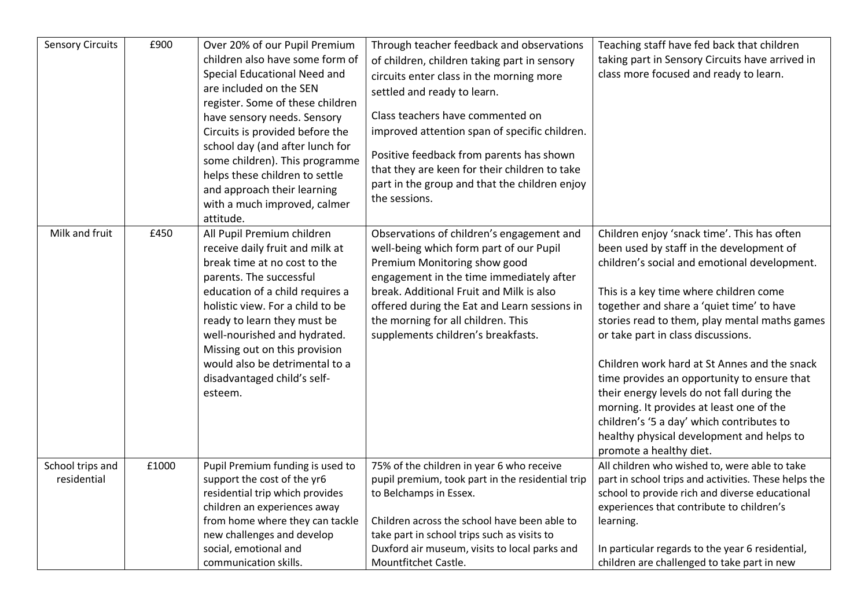| <b>Sensory Circuits</b> | £900  | Over 20% of our Pupil Premium    | Through teacher feedback and observations        | Teaching staff have fed back that children           |
|-------------------------|-------|----------------------------------|--------------------------------------------------|------------------------------------------------------|
|                         |       | children also have some form of  | of children, children taking part in sensory     | taking part in Sensory Circuits have arrived in      |
|                         |       | Special Educational Need and     | circuits enter class in the morning more         | class more focused and ready to learn.               |
|                         |       | are included on the SEN          | settled and ready to learn.                      |                                                      |
|                         |       | register. Some of these children |                                                  |                                                      |
|                         |       | have sensory needs. Sensory      | Class teachers have commented on                 |                                                      |
|                         |       | Circuits is provided before the  | improved attention span of specific children.    |                                                      |
|                         |       | school day (and after lunch for  |                                                  |                                                      |
|                         |       | some children). This programme   | Positive feedback from parents has shown         |                                                      |
|                         |       | helps these children to settle   | that they are keen for their children to take    |                                                      |
|                         |       | and approach their learning      | part in the group and that the children enjoy    |                                                      |
|                         |       | with a much improved, calmer     | the sessions.                                    |                                                      |
|                         |       | attitude.                        |                                                  |                                                      |
| Milk and fruit          | £450  | All Pupil Premium children       | Observations of children's engagement and        | Children enjoy 'snack time'. This has often          |
|                         |       | receive daily fruit and milk at  | well-being which form part of our Pupil          | been used by staff in the development of             |
|                         |       | break time at no cost to the     | Premium Monitoring show good                     | children's social and emotional development.         |
|                         |       | parents. The successful          | engagement in the time immediately after         |                                                      |
|                         |       | education of a child requires a  | break. Additional Fruit and Milk is also         | This is a key time where children come               |
|                         |       | holistic view. For a child to be | offered during the Eat and Learn sessions in     | together and share a 'quiet time' to have            |
|                         |       | ready to learn they must be      | the morning for all children. This               | stories read to them, play mental maths games        |
|                         |       | well-nourished and hydrated.     | supplements children's breakfasts.               | or take part in class discussions.                   |
|                         |       | Missing out on this provision    |                                                  |                                                      |
|                         |       | would also be detrimental to a   |                                                  | Children work hard at St Annes and the snack         |
|                         |       | disadvantaged child's self-      |                                                  |                                                      |
|                         |       |                                  |                                                  | time provides an opportunity to ensure that          |
|                         |       | esteem.                          |                                                  | their energy levels do not fall during the           |
|                         |       |                                  |                                                  | morning. It provides at least one of the             |
|                         |       |                                  |                                                  | children's '5 a day' which contributes to            |
|                         |       |                                  |                                                  | healthy physical development and helps to            |
|                         |       |                                  |                                                  | promote a healthy diet.                              |
| School trips and        | £1000 | Pupil Premium funding is used to | 75% of the children in year 6 who receive        | All children who wished to, were able to take        |
| residential             |       | support the cost of the yr6      | pupil premium, took part in the residential trip | part in school trips and activities. These helps the |
|                         |       | residential trip which provides  | to Belchamps in Essex.                           | school to provide rich and diverse educational       |
|                         |       | children an experiences away     |                                                  | experiences that contribute to children's            |
|                         |       | from home where they can tackle  | Children across the school have been able to     | learning.                                            |
|                         |       | new challenges and develop       | take part in school trips such as visits to      |                                                      |
|                         |       | social, emotional and            | Duxford air museum, visits to local parks and    | In particular regards to the year 6 residential,     |
|                         |       | communication skills.            | Mountfitchet Castle.                             | children are challenged to take part in new          |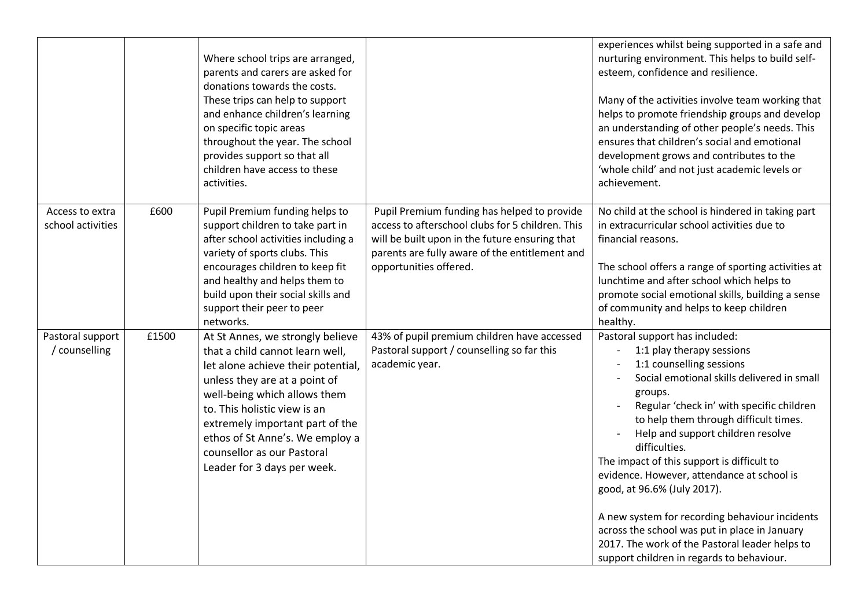|                                      |       | Where school trips are arranged,<br>parents and carers are asked for<br>donations towards the costs.<br>These trips can help to support<br>and enhance children's learning<br>on specific topic areas<br>throughout the year. The school<br>provides support so that all<br>children have access to these<br>activities.                      |                                                                                                                                                                                                                               | experiences whilst being supported in a safe and<br>nurturing environment. This helps to build self-<br>esteem, confidence and resilience.<br>Many of the activities involve team working that<br>helps to promote friendship groups and develop<br>an understanding of other people's needs. This<br>ensures that children's social and emotional<br>development grows and contributes to the<br>'whole child' and not just academic levels or<br>achievement.                                                                                                                                                           |
|--------------------------------------|-------|-----------------------------------------------------------------------------------------------------------------------------------------------------------------------------------------------------------------------------------------------------------------------------------------------------------------------------------------------|-------------------------------------------------------------------------------------------------------------------------------------------------------------------------------------------------------------------------------|---------------------------------------------------------------------------------------------------------------------------------------------------------------------------------------------------------------------------------------------------------------------------------------------------------------------------------------------------------------------------------------------------------------------------------------------------------------------------------------------------------------------------------------------------------------------------------------------------------------------------|
| Access to extra<br>school activities | £600  | Pupil Premium funding helps to<br>support children to take part in<br>after school activities including a<br>variety of sports clubs. This<br>encourages children to keep fit<br>and healthy and helps them to<br>build upon their social skills and<br>support their peer to peer<br>networks.                                               | Pupil Premium funding has helped to provide<br>access to afterschool clubs for 5 children. This<br>will be built upon in the future ensuring that<br>parents are fully aware of the entitlement and<br>opportunities offered. | No child at the school is hindered in taking part<br>in extracurricular school activities due to<br>financial reasons.<br>The school offers a range of sporting activities at<br>lunchtime and after school which helps to<br>promote social emotional skills, building a sense<br>of community and helps to keep children<br>healthy.                                                                                                                                                                                                                                                                                    |
| Pastoral support<br>counselling      | £1500 | At St Annes, we strongly believe<br>that a child cannot learn well,<br>let alone achieve their potential,<br>unless they are at a point of<br>well-being which allows them<br>to. This holistic view is an<br>extremely important part of the<br>ethos of St Anne's. We employ a<br>counsellor as our Pastoral<br>Leader for 3 days per week. | 43% of pupil premium children have accessed<br>Pastoral support / counselling so far this<br>academic year.                                                                                                                   | Pastoral support has included:<br>1:1 play therapy sessions<br>1:1 counselling sessions<br>Social emotional skills delivered in small<br>groups.<br>Regular 'check in' with specific children<br>to help them through difficult times.<br>Help and support children resolve<br>difficulties.<br>The impact of this support is difficult to<br>evidence. However, attendance at school is<br>good, at 96.6% (July 2017).<br>A new system for recording behaviour incidents<br>across the school was put in place in January<br>2017. The work of the Pastoral leader helps to<br>support children in regards to behaviour. |